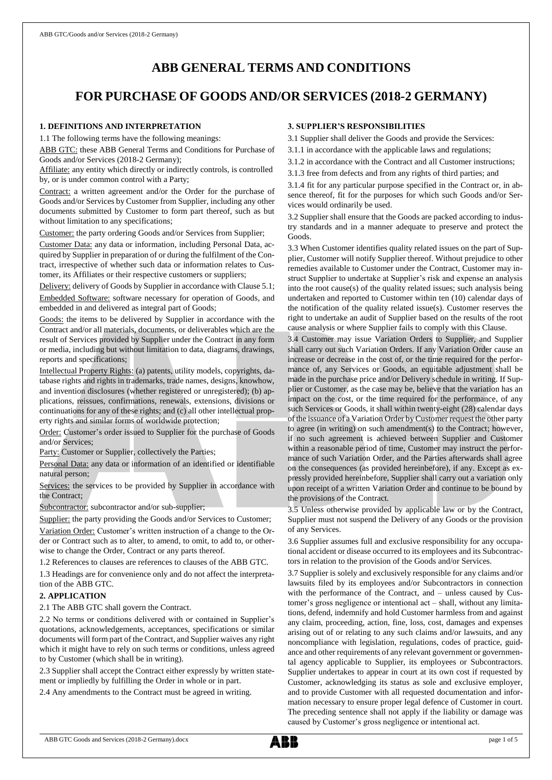# **ABB GENERAL TERMS AND CONDITIONS**

## **FOR PURCHASE OF GOODS AND/OR SERVICES (2018-2 GERMANY)**

#### **1. DEFINITIONS AND INTERPRETATION**

1.1 The following terms have the following meanings:

ABB GTC: these ABB General Terms and Conditions for Purchase of Goods and/or Services (2018-2 Germany);

Affiliate: any entity which directly or indirectly controls, is controlled by, or is under common control with a Party;

Contract: a written agreement and/or the Order for the purchase of Goods and/or Services by Customer from Supplier, including any other documents submitted by Customer to form part thereof, such as but without limitation to any specifications;

Customer: the party ordering Goods and/or Services from Supplier;

Customer Data: any data or information, including Personal Data, acquired by Supplier in preparation of or during the fulfilment of the Contract, irrespective of whether such data or information relates to Customer, its Affiliates or their respective customers or suppliers;

Delivery: delivery of Goods by Supplier in accordance with Clause 5.1; Embedded Software: software necessary for operation of Goods, and embedded in and delivered as integral part of Goods;

Goods: the items to be delivered by Supplier in accordance with the Contract and/or all materials, documents, or deliverables which are the result of Services provided by Supplier under the Contract in any form or media, including but without limitation to data, diagrams, drawings, reports and specifications;

Intellectual Property Rights: (a) patents, utility models, copyrights, database rights and rights in trademarks, trade names, designs, knowhow, and invention disclosures (whether registered or unregistered); (b) applications, reissues, confirmations, renewals, extensions, divisions or continuations for any of these rights; and (c) all other intellectual property rights and similar forms of worldwide protection;

Order: Customer's order issued to Supplier for the purchase of Goods and/or Services;

Party: Customer or Supplier, collectively the Parties;

Personal Data: any data or information of an identified or identifiable natural person;

Services: the services to be provided by Supplier in accordance with the Contract;

Subcontractor: subcontractor and/or sub-supplier;

Supplier: the party providing the Goods and/or Services to Customer; Variation Order: Customer's written instruction of a change to the Order or Contract such as to alter, to amend, to omit, to add to, or otherwise to change the Order, Contract or any parts thereof.

1.2 References to clauses are references to clauses of the ABB GTC.

1.3 Headings are for convenience only and do not affect the interpretation of the ABB GTC.

#### **2. APPLICATION**

2.1 The ABB GTC shall govern the Contract.

2.2 No terms or conditions delivered with or contained in Supplier's quotations, acknowledgements, acceptances, specifications or similar documents will form part of the Contract, and Supplier waives any right which it might have to rely on such terms or conditions, unless agreed to by Customer (which shall be in writing).

2.3 Supplier shall accept the Contract either expressly by written statement or impliedly by fulfilling the Order in whole or in part.

2.4 Any amendments to the Contract must be agreed in writing.

#### **3. SUPPLIER'S RESPONSIBILITIES**

3.1 Supplier shall deliver the Goods and provide the Services:

3.1.1 in accordance with the applicable laws and regulations;

- 3.1.2 in accordance with the Contract and all Customer instructions;
- 3.1.3 free from defects and from any rights of third parties; and

3.1.4 fit for any particular purpose specified in the Contract or, in absence thereof, fit for the purposes for which such Goods and/or Services would ordinarily be used.

3.2 Supplier shall ensure that the Goods are packed according to industry standards and in a manner adequate to preserve and protect the Goods.

3.3 When Customer identifies quality related issues on the part of Supplier, Customer will notify Supplier thereof. Without prejudice to other remedies available to Customer under the Contract, Customer may instruct Supplier to undertake at Supplier's risk and expense an analysis into the root cause(s) of the quality related issues; such analysis being undertaken and reported to Customer within ten (10) calendar days of the notification of the quality related issue(s). Customer reserves the right to undertake an audit of Supplier based on the results of the root cause analysis or where Supplier fails to comply with this Clause.

3.4 Customer may issue Variation Orders to Supplier, and Supplier shall carry out such Variation Orders. If any Variation Order cause an increase or decrease in the cost of, or the time required for the performance of, any Services or Goods, an equitable adjustment shall be made in the purchase price and/or Delivery schedule in writing. If Supplier or Customer, as the case may be, believe that the variation has an impact on the cost, or the time required for the performance, of any such Services or Goods, it shall within twenty-eight (28) calendar days of the issuance of a Variation Order by Customer request the other party to agree (in writing) on such amendment(s) to the Contract; however, if no such agreement is achieved between Supplier and Customer within a reasonable period of time, Customer may instruct the performance of such Variation Order, and the Parties afterwards shall agree on the consequences (as provided hereinbefore), if any. Except as expressly provided hereinbefore, Supplier shall carry out a variation only upon receipt of a written Variation Order and continue to be bound by the provisions of the Contract.

3.5 Unless otherwise provided by applicable law or by the Contract, Supplier must not suspend the Delivery of any Goods or the provision of any Services.

3.6 Supplier assumes full and exclusive responsibility for any occupational accident or disease occurred to its employees and its Subcontractors in relation to the provision of the Goods and/or Services.

3.7 Supplier is solely and exclusively responsible for any claims and/or lawsuits filed by its employees and/or Subcontractors in connection with the performance of the Contract, and – unless caused by Customer's gross negligence or intentional act – shall, without any limitations, defend, indemnify and hold Customer harmless from and against any claim, proceeding, action, fine, loss, cost, damages and expenses arising out of or relating to any such claims and/or lawsuits, and any noncompliance with legislation, regulations, codes of practice, guidance and other requirements of any relevant government or governmental agency applicable to Supplier, its employees or Subcontractors. Supplier undertakes to appear in court at its own cost if requested by Customer, acknowledging its status as sole and exclusive employer, and to provide Customer with all requested documentation and information necessary to ensure proper legal defence of Customer in court. The preceding sentence shall not apply if the liability or damage was caused by Customer's gross negligence or intentional act.

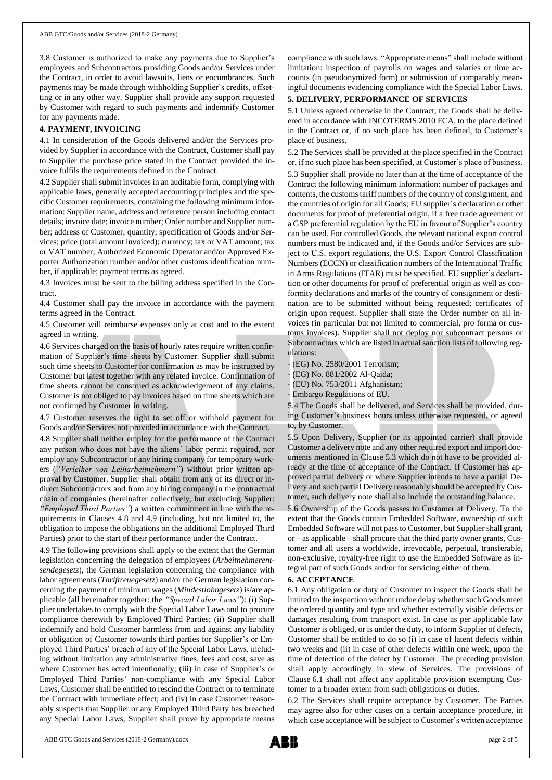3.8 Customer is authorized to make any payments due to Supplier's employees and Subcontractors providing Goods and/or Services under the Contract, in order to avoid lawsuits, liens or encumbrances. Such payments may be made through withholding Supplier's credits, offsetting or in any other way. Supplier shall provide any support requested by Customer with regard to such payments and indemnify Customer for any payments made.

#### **4. PAYMENT, INVOICING**

4.1 In consideration of the Goods delivered and/or the Services provided by Supplier in accordance with the Contract, Customer shall pay to Supplier the purchase price stated in the Contract provided the invoice fulfils the requirements defined in the Contract.

4.2 Supplier shall submit invoices in an auditable form, complying with applicable laws, generally accepted accounting principles and the specific Customer requirements, containing the following minimum information: Supplier name, address and reference person including contact details; invoice date; invoice number; Order number and Supplier number; address of Customer; quantity; specification of Goods and/or Services; price (total amount invoiced); currency; tax or VAT amount; tax or VAT number; Authorized Economic Operator and/or Approved Exporter Authorization number and/or other customs identification number, if applicable; payment terms as agreed.

4.3 Invoices must be sent to the billing address specified in the Contract.

4.4 Customer shall pay the invoice in accordance with the payment terms agreed in the Contract.

4.5 Customer will reimburse expenses only at cost and to the extent agreed in writing.

4.6 Services charged on the basis of hourly rates require written confirmation of Supplier's time sheets by Customer. Supplier shall submit such time sheets to Customer for confirmation as may be instructed by Customer but latest together with any related invoice. Confirmation of time sheets cannot be construed as acknowledgement of any claims. Customer is not obliged to pay invoices based on time sheets which are not confirmed by Customer in writing.

4.7 Customer reserves the right to set off or withhold payment for Goods and/or Services not provided in accordance with the Contract.

4.8 Supplier shall neither employ for the performance of the Contract any person who does not have the aliens' labor permit required, nor employ any Subcontractor or any hiring company for temporary workers (*"Verleiher von Leiharbeitnehmern"*) without prior written approval by Customer. Supplier shall obtain from any of its direct or indirect Subcontractors and from any hiring company in the contractual chain of companies (hereinafter collectively, but excluding Supplier: *"Employed Third Parties"*) a written commitment in line with the requirements in Clauses 4.8 and 4.9 (including, but not limited to, the obligation to impose the obligations on the additional Employed Third Parties) prior to the start of their performance under the Contract.

4.9 The following provisions shall apply to the extent that the German legislation concerning the delegation of employees (*Arbeitnehmerentsendegesetz*), the German legislation concerning the compliance with labor agreements (*Tariftreuegesetz*) and/or the German legislation concerning the payment of minimum wages (*Mindestlohngesetz*) is/are applicable (all hereinafter together: the *"Special Labor Laws"*): (i) Supplier undertakes to comply with the Special Labor Laws and to procure compliance therewith by Employed Third Parties; (ii) Supplier shall indemnify and hold Customer harmless from and against any liability or obligation of Customer towards third parties for Supplier's or Employed Third Parties' breach of any of the Special Labor Laws, including without limitation any administrative fines, fees and cost, save as where Customer has acted intentionally; (iii) in case of Supplier's or Employed Third Parties' non-compliance with any Special Labor Laws, Customer shall be entitled to rescind the Contract or to terminate the Contract with immediate effect; and (iv) in case Customer reasonably suspects that Supplier or any Employed Third Party has breached any Special Labor Laws, Supplier shall prove by appropriate means

compliance with such laws. "Appropriate means" shall include without limitation: inspection of payrolls on wages and salaries or time accounts (in pseudonymized form) or submission of comparably meaningful documents evidencing compliance with the Special Labor Laws.

## **5. DELIVERY, PERFORMANCE OF SERVICES**

5.1 Unless agreed otherwise in the Contract, the Goods shall be delivered in accordance with INCOTERMS 2010 FCA, to the place defined in the Contract or, if no such place has been defined, to Customer's place of business.

5.2 The Services shall be provided at the place specified in the Contract or, if no such place has been specified, at Customer's place of business. 5.3 Supplier shall provide no later than at the time of acceptance of the Contract the following minimum information: number of packages and contents, the customs tariff numbers of the country of consignment, and the countries of origin for all Goods; EU supplier´s declaration or other documents for proof of preferential origin, if a free trade agreement or a GSP preferential regulation by the EU in favour of Supplier's country can be used. For controlled Goods, the relevant national export control numbers must be indicated and, if the Goods and/or Services are subject to U.S. export regulations, the U.S. Export Control Classification Numbers (ECCN) or classification numbers of the International Traffic in Arms Regulations (ITAR) must be specified. EU supplier's declaration or other documents for proof of preferential origin as well as conformity declarations and marks of the country of consignment or destination are to be submitted without being requested; certificates of origin upon request. Supplier shall state the Order number on all invoices (in particular but not limited to commercial, pro forma or customs invoices). Supplier shall not deploy nor subcontract persons or Subcontractors which are listed in actual sanction lists of following regulations:

(EG) No. 2580/2001 Terrorism;

(EG) No. 881/2002 Al-Qaida;

(EU) No. 753/2011 Afghanistan;

- Embargo Regulations of EU.

5.4 The Goods shall be delivered, and Services shall be provided, during Customer's business hours unless otherwise requested, or agreed to, by Customer.

5.5 Upon Delivery, Supplier (or its appointed carrier) shall provide Customer a delivery note and any other required export and import documents mentioned in Clause 5.3 which do not have to be provided already at the time of acceptance of the Contract. If Customer has approved partial delivery or where Supplier intends to have a partial Delivery and such partial Delivery reasonably should be accepted by Customer, such delivery note shall also include the outstanding balance.

5.6 Ownership of the Goods passes to Customer at Delivery. To the extent that the Goods contain Embedded Software, ownership of such Embedded Software will not passto Customer, but Supplier shall grant, or – as applicable – shall procure that the third party owner grants, Customer and all users a worldwide, irrevocable, perpetual, transferable, non-exclusive, royalty-free right to use the Embedded Software as integral part of such Goods and/or for servicing either of them.

#### **6. ACCEPTANCE**

6.1 Any obligation or duty of Customer to inspect the Goods shall be limited to the inspection without undue delay whether such Goods meet the ordered quantity and type and whether externally visible defects or damages resulting from transport exist. In case as per applicable law Customer is obliged, or is under the duty, to inform Supplier of defects, Customer shall be entitled to do so (i) in case of latent defects within two weeks and (ii) in case of other defects within one week, upon the time of detection of the defect by Customer. The preceding provision shall apply accordingly in view of Services. The provisions of Clause 6.1 shall not affect any applicable provision exempting Customer to a broader extent from such obligations or duties.

6.2 The Services shall require acceptance by Customer. The Parties may agree also for other cases on a certain acceptance procedure, in which case acceptance will be subject to Customer's written acceptance

ABB GTC Goods and Services (2018-2 Germany).docx page 2 of 5

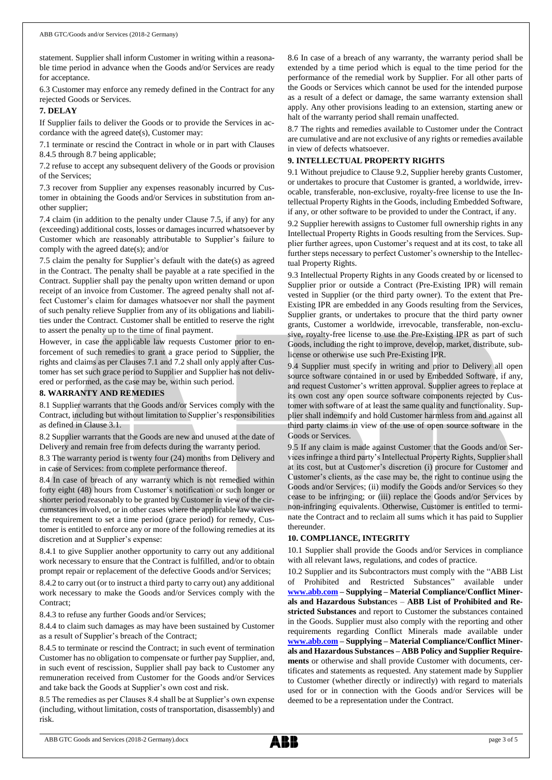statement. Supplier shall inform Customer in writing within a reasonable time period in advance when the Goods and/or Services are ready for acceptance.

6.3 Customer may enforce any remedy defined in the Contract for any rejected Goods or Services.

#### **7. DELAY**

If Supplier fails to deliver the Goods or to provide the Services in accordance with the agreed date(s), Customer may:

7.1 terminate or rescind the Contract in whole or in part with Clauses 8.4.5 through 8.7 being applicable;

7.2 refuse to accept any subsequent delivery of the Goods or provision of the Services;

7.3 recover from Supplier any expenses reasonably incurred by Customer in obtaining the Goods and/or Services in substitution from another supplier;

7.4 claim (in addition to the penalty under Clause 7.5, if any) for any (exceeding) additional costs, losses or damages incurred whatsoever by Customer which are reasonably attributable to Supplier's failure to comply with the agreed date(s); and/or

7.5 claim the penalty for Supplier's default with the date(s) as agreed in the Contract. The penalty shall be payable at a rate specified in the Contract. Supplier shall pay the penalty upon written demand or upon receipt of an invoice from Customer. The agreed penalty shall not affect Customer's claim for damages whatsoever nor shall the payment of such penalty relieve Supplier from any of its obligations and liabilities under the Contract. Customer shall be entitled to reserve the right to assert the penalty up to the time of final payment.

However, in case the applicable law requests Customer prior to enforcement of such remedies to grant a grace period to Supplier, the rights and claims as per Clauses 7.1 and 7.2 shall only apply after Customer has set such grace period to Supplier and Supplier has not delivered or performed, as the case may be, within such period.

#### **8. WARRANTY AND REMEDIES**

8.1 Supplier warrants that the Goods and/or Services comply with the Contract, including but without limitation to Supplier's responsibilities as defined in Clause 3.1.

8.2 Supplier warrants that the Goods are new and unused at the date of Delivery and remain free from defects during the warranty period.

8.3 The warranty period is twenty four (24) months from Delivery and in case of Services: from complete performance thereof.

8.4 In case of breach of any warranty which is not remedied within forty eight (48) hours from Customer's notification or such longer or shorter period reasonably to be granted by Customer in view of the circumstances involved, or in other cases where the applicable law waives the requirement to set a time period (grace period) for remedy, Customer is entitled to enforce any or more of the following remedies at its discretion and at Supplier's expense:

8.4.1 to give Supplier another opportunity to carry out any additional work necessary to ensure that the Contract is fulfilled, and/or to obtain prompt repair or replacement of the defective Goods and/or Services;

8.4.2 to carry out (or to instruct a third party to carry out) any additional work necessary to make the Goods and/or Services comply with the Contract;

8.4.3 to refuse any further Goods and/or Services;

8.4.4 to claim such damages as may have been sustained by Customer as a result of Supplier's breach of the Contract;

8.4.5 to terminate or rescind the Contract; in such event of termination Customer has no obligation to compensate or further pay Supplier, and, in such event of rescission, Supplier shall pay back to Customer any remuneration received from Customer for the Goods and/or Services and take back the Goods at Supplier's own cost and risk.

8.5 The remedies as per Clauses 8.4 shall be at Supplier's own expense (including, without limitation, costs of transportation, disassembly) and risk.

8.6 In case of a breach of any warranty, the warranty period shall be extended by a time period which is equal to the time period for the performance of the remedial work by Supplier. For all other parts of the Goods or Services which cannot be used for the intended purpose as a result of a defect or damage, the same warranty extension shall apply. Any other provisions leading to an extension, starting anew or halt of the warranty period shall remain unaffected.

8.7 The rights and remedies available to Customer under the Contract are cumulative and are not exclusive of any rights or remedies available in view of defects whatsoever.

#### **9. INTELLECTUAL PROPERTY RIGHTS**

9.1 Without prejudice to Clause 9.2, Supplier hereby grants Customer, or undertakes to procure that Customer is granted, a worldwide, irrevocable, transferable, non-exclusive, royalty-free license to use the Intellectual Property Rights in the Goods, including Embedded Software, if any, or other software to be provided to under the Contract, if any.

9.2 Supplier herewith assigns to Customer full ownership rights in any Intellectual Property Rights in Goods resulting from the Services. Supplier further agrees, upon Customer's request and at its cost, to take all further steps necessary to perfect Customer's ownership to the Intellectual Property Rights.

9.3 Intellectual Property Rights in any Goods created by or licensed to Supplier prior or outside a Contract (Pre-Existing IPR) will remain vested in Supplier (or the third party owner). To the extent that Pre-Existing IPR are embedded in any Goods resulting from the Services, Supplier grants, or undertakes to procure that the third party owner grants, Customer a worldwide, irrevocable, transferable, non-exclusive, royalty-free license to use the Pre-Existing IPR as part of such Goods, including the right to improve, develop, market, distribute, sublicense or otherwise use such Pre-Existing IPR.

9.4 Supplier must specify in writing and prior to Delivery all open source software contained in or used by Embedded Software, if any, and request Customer's written approval. Supplier agrees to replace at its own cost any open source software components rejected by Customer with software of at least the same quality and functionality. Supplier shall indemnify and hold Customer harmless from and against all third party claims in view of the use of open source software in the Goods or Services.

9.5 If any claim is made against Customer that the Goods and/or Services infringe a third party's Intellectual Property Rights, Supplier shall at its cost, but at Customer's discretion (i) procure for Customer and Customer's clients, as the case may be, the right to continue using the Goods and/or Services; (ii) modify the Goods and/or Services so they cease to be infringing; or (iii) replace the Goods and/or Services by non-infringing equivalents. Otherwise, Customer is entitled to terminate the Contract and to reclaim all sums which it has paid to Supplier thereunder.

#### **10. COMPLIANCE, INTEGRITY**

10.1 Supplier shall provide the Goods and/or Services in compliance with all relevant laws, regulations, and codes of practice.

10.2 Supplier and its Subcontractors must comply with the "ABB List of Prohibited and Restricted Substances" available under **[www.abb.com](http://www.abb.com/) – Supplying – Material Compliance/Conflict Minerals and Hazardous Substan**ces – **[ABB List of Prohibited and Re](http://search.abb.com/library/Download.aspx?DocumentID=9AKK105713A6396&LanguageCode=en&DocumentPartId=&Action=Launch)[stricted Substances](http://search.abb.com/library/Download.aspx?DocumentID=9AKK105713A6396&LanguageCode=en&DocumentPartId=&Action=Launch)** and report to Customer the substances contained in the Goods. Supplier must also comply with the reporting and other requirements regarding Conflict Minerals made available under **[www.abb.com](http://www.abb.com/) – Supplying – Material Compliance/Conflict Minerals and Hazardous Substances – ABB Policy and Supplier Requirements** or otherwise and shall provide Customer with documents, certificates and statements as requested. Any statement made by Supplier to Customer (whether directly or indirectly) with regard to materials used for or in connection with the Goods and/or Services will be deemed to be a representation under the Contract.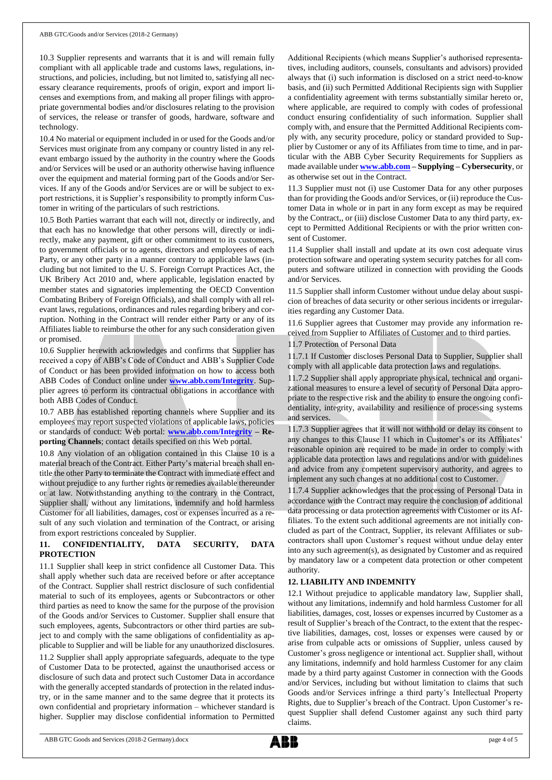10.3 Supplier represents and warrants that it is and will remain fully compliant with all applicable trade and customs laws, regulations, instructions, and policies, including, but not limited to, satisfying all necessary clearance requirements, proofs of origin, export and import licenses and exemptions from, and making all proper filings with appropriate governmental bodies and/or disclosures relating to the provision of services, the release or transfer of goods, hardware, software and technology.

10.4 No material or equipment included in or used for the Goods and/or Services must originate from any company or country listed in any relevant embargo issued by the authority in the country where the Goods and/or Services will be used or an authority otherwise having influence over the equipment and material forming part of the Goods and/or Services. If any of the Goods and/or Services are or will be subject to export restrictions, it is Supplier's responsibility to promptly inform Customer in writing of the particulars of such restrictions.

10.5 Both Parties warrant that each will not, directly or indirectly, and that each has no knowledge that other persons will, directly or indirectly, make any payment, gift or other commitment to its customers, to government officials or to agents, directors and employees of each Party, or any other party in a manner contrary to applicable laws (including but not limited to the U. S. Foreign Corrupt Practices Act, the UK Bribery Act 2010 and, where applicable, legislation enacted by member states and signatories implementing the OECD Convention Combating Bribery of Foreign Officials), and shall comply with all relevant laws, regulations, ordinances and rules regarding bribery and corruption. Nothing in the Contract will render either Party or any of its Affiliates liable to reimburse the other for any such consideration given or promised.

10.6 Supplier herewith acknowledges and confirms that Supplier has received a copy of ABB's Code of Conduct and ABB's Supplier Code of Conduct or has been provided information on how to access both ABB Codes of Conduct online under **[www.abb.com/Integrity](http://www.abb.com/Integrity)**. Supplier agrees to perform its contractual obligations in accordance with both ABB Codes of Conduct.

10.7 ABB has established reporting channels where Supplier and its employees may report suspected violations of applicable laws, policies or standards of conduct: Web portal: **[www.abb.com/Integrity](http://www.abb.com/Integrity) – Reporting Channels**; contact details specified on this Web portal.

10.8 Any violation of an obligation contained in this Clause 10 is a material breach of the Contract. Either Party's material breach shall entitle the other Party to terminate the Contract with immediate effect and without prejudice to any further rights or remedies available thereunder or at law. Notwithstanding anything to the contrary in the Contract, Supplier shall, without any limitations, indemnify and hold harmless Customer for all liabilities, damages, cost or expenses incurred as a result of any such violation and termination of the Contract, or arising from export restrictions concealed by Supplier.

## **11. CONFIDENTIALITY, DATA SECURITY, DATA PROTECTION**

11.1 Supplier shall keep in strict confidence all Customer Data. This shall apply whether such data are received before or after acceptance of the Contract. Supplier shall restrict disclosure of such confidential material to such of its employees, agents or Subcontractors or other third parties as need to know the same for the purpose of the provision of the Goods and/or Services to Customer. Supplier shall ensure that such employees, agents, Subcontractors or other third parties are subject to and comply with the same obligations of confidentiality as applicable to Supplier and will be liable for any unauthorized disclosures. 11.2 Supplier shall apply appropriate safeguards, adequate to the type of Customer Data to be protected, against the unauthorised access or disclosure of such data and protect such Customer Data in accordance with the generally accepted standards of protection in the related industry, or in the same manner and to the same degree that it protects its own confidential and proprietary information – whichever standard is higher. Supplier may disclose confidential information to Permitted

Additional Recipients (which means Supplier's authorised representatives, including auditors, counsels, consultants and advisors) provided always that (i) such information is disclosed on a strict need-to-know basis, and (ii) such Permitted Additional Recipients sign with Supplier a confidentiality agreement with terms substantially similar hereto or, where applicable, are required to comply with codes of professional conduct ensuring confidentiality of such information. Supplier shall comply with, and ensure that the Permitted Additional Recipients comply with, any security procedure, policy or standard provided to Supplier by Customer or any of its Affiliates from time to time, and in particular with the ABB Cyber Security Requirements for Suppliers as made available under **[www.abb.com](http://www.abb.com/) – Supplying – Cybersecurity**, or as otherwise set out in the Contract.

11.3 Supplier must not (i) use Customer Data for any other purposes than for providing the Goods and/or Services, or (ii) reproduce the Customer Data in whole or in part in any form except as may be required by the Contract,, or (iii) disclose Customer Data to any third party, except to Permitted Additional Recipients or with the prior written consent of Customer.

11.4 Supplier shall install and update at its own cost adequate virus protection software and operating system security patches for all computers and software utilized in connection with providing the Goods and/or Services.

11.5 Supplier shall inform Customer without undue delay about suspicion of breaches of data security or other serious incidents or irregularities regarding any Customer Data.

11.6 Supplier agrees that Customer may provide any information received from Supplier to Affiliates of Customer and to third parties.

11.7 Protection of Personal Data

11.7.1 If Customer discloses Personal Data to Supplier, Supplier shall comply with all applicable data protection laws and regulations.

11.7.2 Supplier shall apply appropriate physical, technical and organizational measures to ensure a level of security of Personal Data appropriate to the respective risk and the ability to ensure the ongoing confidentiality, integrity, availability and resilience of processing systems and services.

11.7.3 Supplier agrees that it will not withhold or delay its consent to any changes to this Clause 11 which in Customer's or its Affiliates' reasonable opinion are required to be made in order to comply with applicable data protection laws and regulations and/or with guidelines and advice from any competent supervisory authority, and agrees to implement any such changes at no additional cost to Customer.

11.7.4 Supplier acknowledges that the processing of Personal Data in accordance with the Contract may require the conclusion of additional data processing or data protection agreements with Customer or its Affiliates. To the extent such additional agreements are not initially concluded as part of the Contract, Supplier, its relevant Affiliates or subcontractors shall upon Customer's request without undue delay enter into any such agreement(s), as designated by Customer and as required by mandatory law or a competent data protection or other competent authority.

## **12. LIABILITY AND INDEMNITY**

12.1 Without prejudice to applicable mandatory law, Supplier shall, without any limitations, indemnify and hold harmless Customer for all liabilities, damages, cost, losses or expenses incurred by Customer as a result of Supplier's breach of the Contract, to the extent that the respective liabilities, damages, cost, losses or expenses were caused by or arise from culpable acts or omissions of Supplier, unless caused by Customer's gross negligence or intentional act. Supplier shall, without any limitations, indemnify and hold harmless Customer for any claim made by a third party against Customer in connection with the Goods and/or Services, including but without limitation to claims that such Goods and/or Services infringe a third party's Intellectual Property Rights, due to Supplier's breach of the Contract. Upon Customer's request Supplier shall defend Customer against any such third party claims.

ABB GTC Goods and Services (2018-2 Germany).docx page 4 of 5